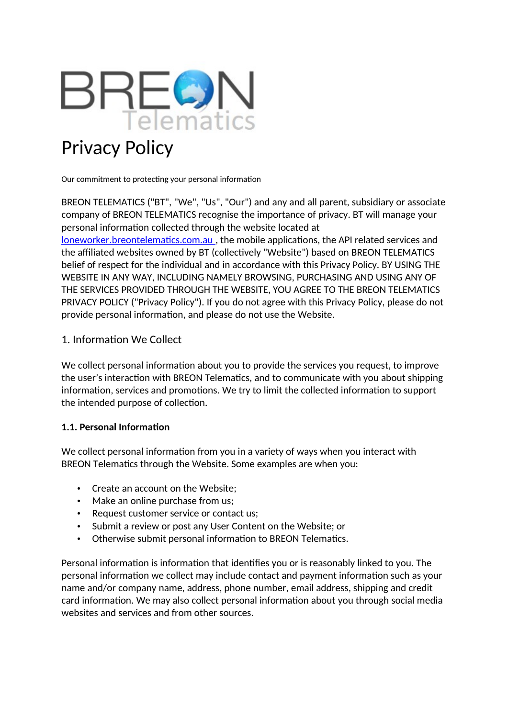

# Privacy Policy

Our commitment to protecting your personal information

BREON TELEMATICS ("BT", "We", "Us", "Our") and any and all parent, subsidiary or associate company of BREON TELEMATICS recognise the importance of privacy. BT will manage your personal information collected through the website located at <loneworker.breontelematics.com.au> , the mobile applications, the API related services and the affiliated websites owned by BT (collectively "Website") based on BREON TELEMATICS belief of respect for the individual and in accordance with this Privacy Policy. BY USING THE WEBSITE IN ANY WAY, INCLUDING NAMELY BROWSING, PURCHASING AND USING ANY OF THE SERVICES PROVIDED THROUGH THE WEBSITE, YOU AGREE TO THE BREON TELEMATICS PRIVACY POLICY ("Privacy Policy"). If you do not agree with this Privacy Policy, please do not provide personal information, and please do not use the Website.

#### 1. Information We Collect

We collect personal information about you to provide the services you request, to improve the user's interaction with BREON Telematics, and to communicate with you about shipping information, services and promotions. We try to limit the collected information to support the intended purpose of collection.

#### **1.1. Personal Information**

We collect personal information from you in a variety of ways when you interact with BREON Telematics through the Website. Some examples are when you:

- Create an account on the Website:
- Make an online purchase from us;
- Request customer service or contact us;
- Submit a review or post any User Content on the Website; or
- Otherwise submit personal information to BREON Telematics.

Personal information is information that identifies you or is reasonably linked to you. The personal information we collect may include contact and payment information such as your name and/or company name, address, phone number, email address, shipping and credit card information. We may also collect personal information about you through social media websites and services and from other sources.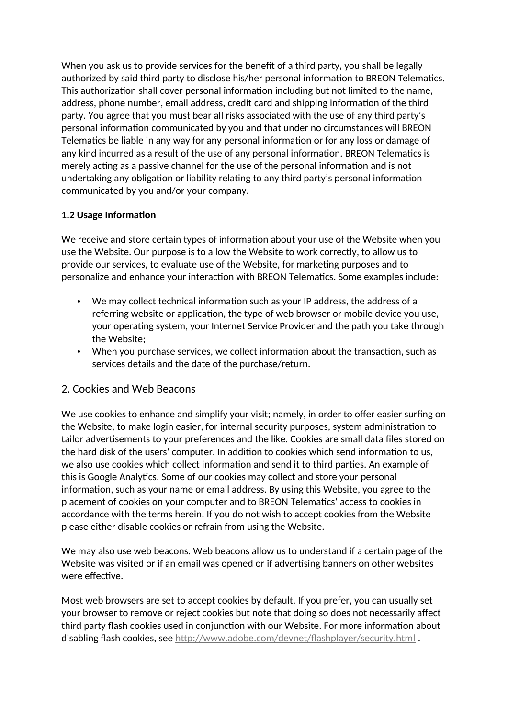When you ask us to provide services for the benefit of a third party, you shall be legally authorized by said third party to disclose his/her personal information to BREON Telematics. This authorization shall cover personal information including but not limited to the name, address, phone number, email address, credit card and shipping information of the third party. You agree that you must bear all risks associated with the use of any third party's personal information communicated by you and that under no circumstances will BREON Telematics be liable in any way for any personal information or for any loss or damage of any kind incurred as a result of the use of any personal information. BREON Telematics is merely acting as a passive channel for the use of the personal information and is not undertaking any obligation or liability relating to any third party's personal information communicated by you and/or your company.

#### **1.2 Usage Information**

We receive and store certain types of information about your use of the Website when you use the Website. Our purpose is to allow the Website to work correctly, to allow us to provide our services, to evaluate use of the Website, for marketing purposes and to personalize and enhance your interaction with BREON Telematics. Some examples include:

- We may collect technical information such as your IP address, the address of a referring website or application, the type of web browser or mobile device you use, your operating system, your Internet Service Provider and the path you take through the Website;
- When you purchase services, we collect information about the transaction, such as services details and the date of the purchase/return.

## 2. Cookies and Web Beacons

We use cookies to enhance and simplify your visit; namely, in order to offer easier surfing on the Website, to make login easier, for internal security purposes, system administration to tailor advertisements to your preferences and the like. Cookies are small data files stored on the hard disk of the users' computer. In addition to cookies which send information to us, we also use cookies which collect information and send it to third parties. An example of this is Google Analytics. Some of our cookies may collect and store your personal information, such as your name or email address. By using this Website, you agree to the placement of cookies on your computer and to BREON Telematics' access to cookies in accordance with the terms herein. If you do not wish to accept cookies from the Website please either disable cookies or refrain from using the Website.

We may also use web beacons. Web beacons allow us to understand if a certain page of the Website was visited or if an email was opened or if advertising banners on other websites were effective.

Most web browsers are set to accept cookies by default. If you prefer, you can usually set your browser to remove or reject cookies but note that doing so does not necessarily affect third party flash cookies used in conjunction with our Website. For more information about disabling flash cookies, see http://www.adobe.com/devnet/flashplayer/security.html.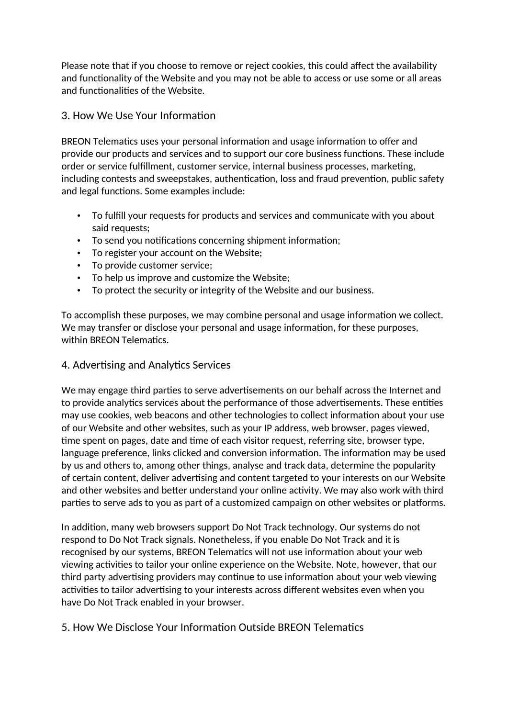Please note that if you choose to remove or reject cookies, this could affect the availability and functionality of the Website and you may not be able to access or use some or all areas and functionalities of the Website.

## 3. How We Use Your Information

BREON Telematics uses your personal information and usage information to offer and provide our products and services and to support our core business functions. These include order or service fulfillment, customer service, internal business processes, marketing, including contests and sweepstakes, authentication, loss and fraud prevention, public safety and legal functions. Some examples include:

- To fulfill your requests for products and services and communicate with you about said requests;
- To send you notifications concerning shipment information;
- To register your account on the Website;
- To provide customer service;
- To help us improve and customize the Website;
- To protect the security or integrity of the Website and our business.

To accomplish these purposes, we may combine personal and usage information we collect. We may transfer or disclose your personal and usage information, for these purposes, within BREON Telematics.

# 4. Advertising and Analytics Services

We may engage third parties to serve advertisements on our behalf across the Internet and to provide analytics services about the performance of those advertisements. These entities may use cookies, web beacons and other technologies to collect information about your use of our Website and other websites, such as your IP address, web browser, pages viewed, time spent on pages, date and time of each visitor request, referring site, browser type, language preference, links clicked and conversion information. The information may be used by us and others to, among other things, analyse and track data, determine the popularity of certain content, deliver advertising and content targeted to your interests on our Website and other websites and better understand your online activity. We may also work with third parties to serve ads to you as part of a customized campaign on other websites or platforms.

In addition, many web browsers support Do Not Track technology. Our systems do not respond to Do Not Track signals. Nonetheless, if you enable Do Not Track and it is recognised by our systems, BREON Telematics will not use information about your web viewing activities to tailor your online experience on the Website. Note, however, that our third party advertising providers may continue to use information about your web viewing activities to tailor advertising to your interests across different websites even when you have Do Not Track enabled in your browser.

5. How We Disclose Your Information Outside BREON Telematics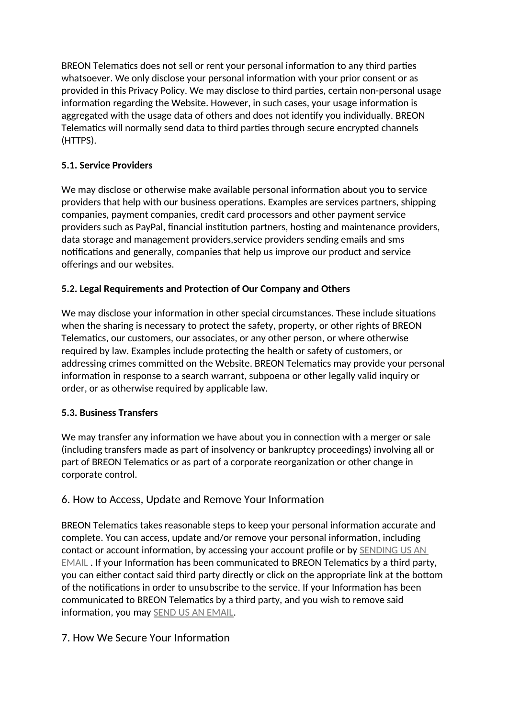BREON Telematics does not sell or rent your personal information to any third parties whatsoever. We only disclose your personal information with your prior consent or as provided in this Privacy Policy. We may disclose to third parties, certain non-personal usage information regarding the Website. However, in such cases, your usage information is aggregated with the usage data of others and does not identify you individually. BREON Telematics will normally send data to third parties through secure encrypted channels (HTTPS).

# **5.1. Service Providers**

We may disclose or otherwise make available personal information about you to service providers that help with our business operations. Examples are services partners, shipping companies, payment companies, credit card processors and other payment service providers such as PayPal, financial institution partners, hosting and maintenance providers, data storage and management providers,service providers sending emails and sms notifications and generally, companies that help us improve our product and service offerings and our websites.

# **5.2. Legal Requirements and Protection of Our Company and Others**

We may disclose your information in other special circumstances. These include situations when the sharing is necessary to protect the safety, property, or other rights of BREON Telematics, our customers, our associates, or any other person, or where otherwise required by law. Examples include protecting the health or safety of customers, or addressing crimes committed on the Website. BREON Telematics may provide your personal information in response to a search warrant, subpoena or other legally valid inquiry or order, or as otherwise required by applicable law.

## **5.3. Business Transfers**

We may transfer any information we have about you in connection with a merger or sale (including transfers made as part of insolvency or bankruptcy proceedings) involving all or part of BREON Telematics or as part of a corporate reorganization or other change in corporate control.

# 6. How to Access, Update and Remove Your Information

BREON Telematics takes reasonable steps to keep your personal information accurate and complete. You can access, update and/or remove your personal information, including contact or account information, by accessing your account profile or by **SENDING US AN** EMAIL . If your Information has been communicated to BREON Telematics by a third party, you can either contact said third party directly or click on the appropriate link at the bottom of the notifications in order to unsubscribe to the service. If your Information has been communicated to BREON Telematics by a third party, and you wish to remove said information, you may SEND US AN EMAIL.

# 7. How We Secure Your Information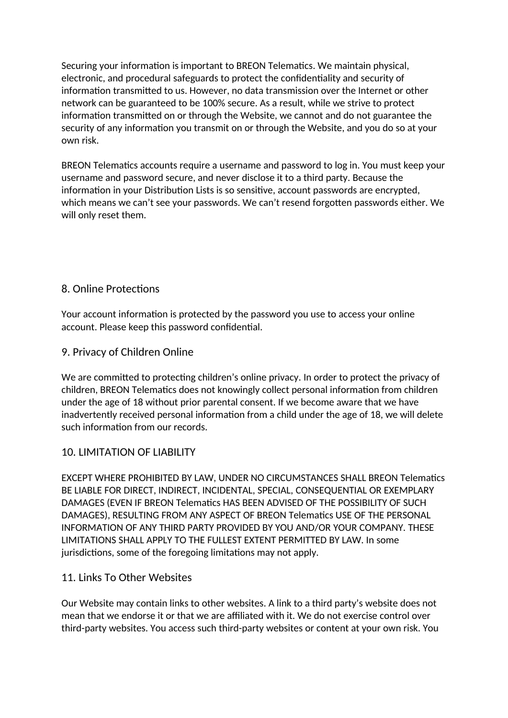Securing your information is important to BREON Telematics. We maintain physical, electronic, and procedural safeguards to protect the confidentiality and security of information transmitted to us. However, no data transmission over the Internet or other network can be guaranteed to be 100% secure. As a result, while we strive to protect information transmitted on or through the Website, we cannot and do not guarantee the security of any information you transmit on or through the Website, and you do so at your own risk.

BREON Telematics accounts require a username and password to log in. You must keep your username and password secure, and never disclose it to a third party. Because the information in your Distribution Lists is so sensitive, account passwords are encrypted, which means we can't see your passwords. We can't resend forgotten passwords either. We will only reset them.

# 8. Online Protections

Your account information is protected by the password you use to access your online account. Please keep this password confidential.

## 9. Privacy of Children Online

We are committed to protecting children's online privacy. In order to protect the privacy of children, BREON Telematics does not knowingly collect personal information from children under the age of 18 without prior parental consent. If we become aware that we have inadvertently received personal information from a child under the age of 18, we will delete such information from our records.

## 10. LIMITATION OF LIABILITY

EXCEPT WHERE PROHIBITED BY LAW, UNDER NO CIRCUMSTANCES SHALL BREON Telematics BE LIABLE FOR DIRECT, INDIRECT, INCIDENTAL, SPECIAL, CONSEQUENTIAL OR EXEMPLARY DAMAGES (EVEN IF BREON Telematics HAS BEEN ADVISED OF THE POSSIBILITY OF SUCH DAMAGES), RESULTING FROM ANY ASPECT OF BREON Telematics USE OF THE PERSONAL INFORMATION OF ANY THIRD PARTY PROVIDED BY YOU AND/OR YOUR COMPANY. THESE LIMITATIONS SHALL APPLY TO THE FULLEST EXTENT PERMITTED BY LAW. In some jurisdictions, some of the foregoing limitations may not apply.

## 11. Links To Other Websites

Our Website may contain links to other websites. A link to a third party's website does not mean that we endorse it or that we are affiliated with it. We do not exercise control over third-party websites. You access such third-party websites or content at your own risk. You